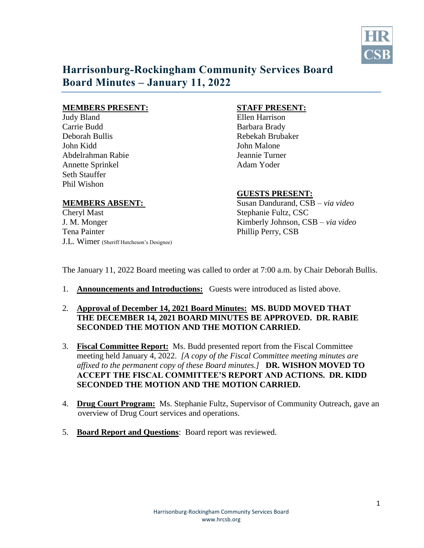

# **Harrisonburg-Rockingham Community Services Board Board Minutes – January 11, 2022**

### **MEMBERS PRESENT: STAFF PRESENT:**

Judy Bland Ellen Harrison Carrie Budd Barbara Brady Deborah Bullis Rebekah Brubaker John Kidd John Malone Abdelrahman Rabie Jeannie Turner Annette Sprinkel Adam Yoder Seth Stauffer Phil Wishon

Cheryl Mast Stephanie Fultz, CSC Tena Painter Phillip Perry, CSB J.L. Wimer (Sheriff Hutcheson's Designee)

## **GUESTS PRESENT:**

**MEMBERS ABSENT:** Susan Dandurand, CSB – *via video* J. M. Monger Kimberly Johnson, CSB – *via video* 

The January 11, 2022 Board meeting was called to order at 7:00 a.m. by Chair Deborah Bullis.

- 1. **Announcements and Introductions:** Guests were introduced as listed above.
- 2. **Approval of December 14, 2021 Board Minutes: MS. BUDD MOVED THAT THE DECEMBER 14, 2021 BOARD MINUTES BE APPROVED. DR. RABIE SECONDED THE MOTION AND THE MOTION CARRIED.**
- 3. **Fiscal Committee Report:** Ms. Budd presented report from the Fiscal Committee meeting held January 4, 2022. *[A copy of the Fiscal Committee meeting minutes are affixed to the permanent copy of these Board minutes.]* **DR. WISHON MOVED TO ACCEPT THE FISCAL COMMITTEE'S REPORT AND ACTIONS. DR. KIDD SECONDED THE MOTION AND THE MOTION CARRIED.**
- 4. **Drug Court Program:** Ms. Stephanie Fultz, Supervisor of Community Outreach, gave an overview of Drug Court services and operations.
- 5. **Board Report and Questions**: Board report was reviewed.